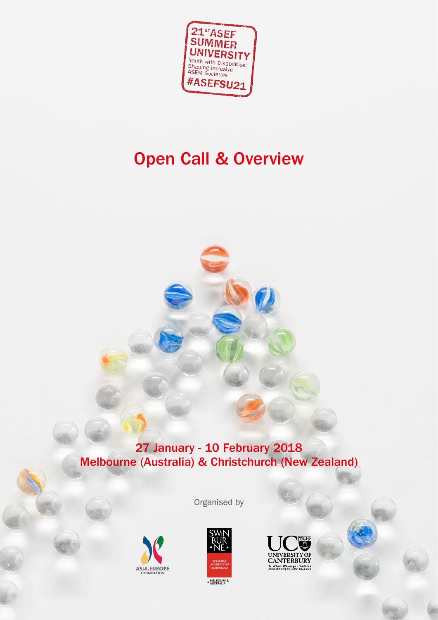

# Open Call & Overview

### 27 January - 10 February 2018 Melbourne (Australia) & Christchurch (New Zealand)





**INIVERSITY ANTERBURY** 

Organised by

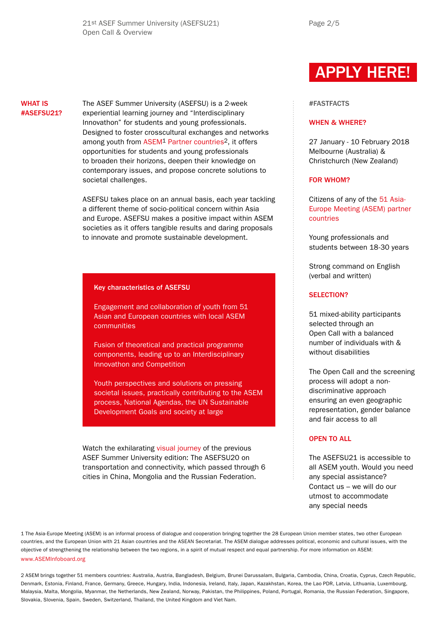Page 2/5

#### WHAT IS #ASEFSU21?

The ASEF Summer University (ASEFSU) is a 2-week experiential learning journey and "Interdisciplinary Innovathon" for students and young professionals. Designed to foster crosscultural exchanges and networks among youth from [ASEM1](http://www.aseminfoboard.org) [Partner countries2](http://www.aseminfoboard.org/members), it offers opportunities for students and young professionals to broaden their horizons, deepen their knowledge on contemporary issues, and propose concrete solutions to societal challenges.

ASEFSU takes place on an annual basis, each year tackling a different theme of socio-political concern within Asia and Europe. ASEFSU makes a positive impact within ASEM societies as it offers tangible results and daring proposals to innovate and promote sustainable development.

#### Key characteristics of ASEFSU

Engagement and collaboration of youth from 51 Asian and European countries with local ASEM communities

Fusion of theoretical and practical programme components, leading up to an Interdisciplinary Innovathon and Competition

Youth perspectives and solutions on pressing societal issues, practically contributing to the ASEM process, National Agendas, the UN Sustainable Development Goals and society at large

Watch the exhilarating [visual journey](https://www.youtube.com/watch?v=oAR7fDC8-Xw) of the previous ASEF Summer University edition: The ASEFSU20 on transportation and connectivity, which passed through 6 cities in China, Mongolia and the Russian Federation.

## [APPLY HERE!](https://asiaeuropefoundation.formstack.com/forms/asefyls2)

#### #FASTFACTS

#### WHEN & WHERE?

27 January - 10 February 2018 Melbourne (Australia) & Christchurch (New Zealand)

#### FOR WHOM?

Citizens of any of the [51 Asia-](http://www.aseminfoboard.org/members)[Europe Meeting \(ASEM\) partner](http://www.aseminfoboard.org/members)  [countries](http://www.aseminfoboard.org/members)

Young professionals and students between 18-30 years

Strong command on English (verbal and written)

#### SELECTION?

51 mixed-ability participants selected through an Open Call with a balanced number of individuals with & without disabilities

The Open Call and the screening process will adopt a nondiscriminative approach ensuring an even geographic representation, gender balance and fair access to all

#### OPEN TO ALL

The ASEFSU21 is accessible to all ASEM youth. Would you need any special assistance? Contact us – we will do our utmost to accommodate any special needs

1 The Asia-Europe Meeting (ASEM) is an informal process of dialogue and cooperation bringing together the 28 European Union member states, two other European countries, and the European Union with 21 Asian countries and the ASEAN Secretariat. The ASEM dialogue addresses political, economic and cultural issues, with the objective of strengthening the relationship between the two regions, in a spirit of mutual respect and equal partnership. For more information on ASEM: [www.ASEMInfoboard.org](http://www.aseminfoboard.org)

2 ASEM brings together 51 members countries: Australia, Austria, Bangladesh, Belgium, Brunei Darussalam, Bulgaria, Cambodia, China, Croatia, Cyprus, Czech Republic, Denmark, Estonia, Finland, France, Germany, Greece, Hungary, India, Indonesia, Ireland, Italy, Japan, Kazakhstan, Korea, the Lao PDR, Latvia, Lithuania, Luxembourg, Malaysia, Malta, Mongolia, Myanmar, the Netherlands, New Zealand, Norway, Pakistan, the Philippines, Poland, Portugal, Romania, the Russian Federation, Singapore, Slovakia, Slovenia, Spain, Sweden, Switzerland, Thailand, the United Kingdom and Viet Nam.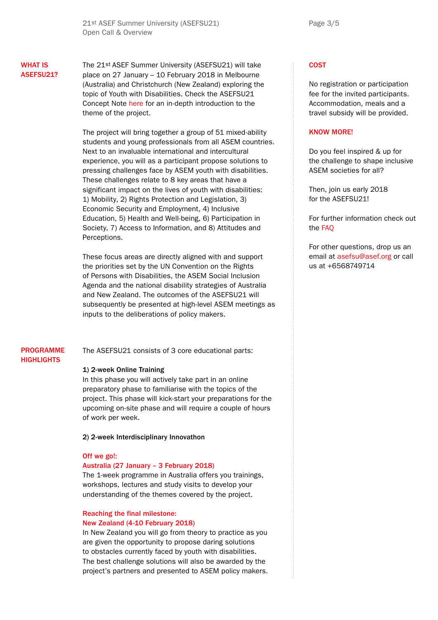#### WHAT IS ASEFSU21?

The 21st ASEF Summer University (ASEFSU21) will take place on 27 January – 10 February 2018 in Melbourne (Australia) and Christchurch (New Zealand) exploring the topic of Youth with Disabilities. Check the ASEFSU21 Concept Note [here](http://asef.org/images/docs/ASEFSU21_ConceptNote.pdf) for an in-depth introduction to the theme of the project.

The project will bring together a group of 51 mixed-ability students and young professionals from all ASEM countries. Next to an invaluable international and intercultural experience, you will as a participant propose solutions to pressing challenges face by ASEM youth with disabilities. These challenges relate to 8 key areas that have a significant impact on the lives of youth with disabilities: 1) Mobility, 2) Rights Protection and Legislation, 3) Economic Security and Employment, 4) Inclusive Education, 5) Health and Well-being, 6) Participation in Society, 7) Access to Information, and 8) Attitudes and Perceptions.

These focus areas are directly aligned with and support the priorities set by the UN Convention on the Rights of Persons with Disabilities, the ASEM Social Inclusion Agenda and the national disability strategies of Australia and New Zealand. The outcomes of the ASEFSU21 will subsequently be presented at high-level ASEM meetings as inputs to the deliberations of policy makers.

#### PROGRAMME **HIGHLIGHTS**

The ASEFSU21 consists of 3 core educational parts:

#### 1) 2-week Online Training

In this phase you will actively take part in an online preparatory phase to familiarise with the topics of the project. This phase will kick-start your preparations for the upcoming on-site phase and will require a couple of hours of work per week.

#### 2) 2-week Interdisciplinary Innovathon

#### Off we go!:

#### Australia (27 January – 3 February 2018)

The 1-week programme in Australia offers you trainings, workshops, lectures and study visits to develop your understanding of the themes covered by the project.

#### Reaching the final milestone: New Zealand (4-10 February 2018)

In New Zealand you will go from theory to practice as you are given the opportunity to propose daring solutions to obstacles currently faced by youth with disabilities. The best challenge solutions will also be awarded by the project's partners and presented to ASEM policy makers.

#### **COST**

No registration or participation fee for the invited participants. Accommodation, meals and a travel subsidy will be provided.

#### KNOW MORE!

Do you feel inspired & up for the challenge to shape inclusive ASEM societies for all?

Then, join us early 2018 for the ASFFSU21!

For further information check out the [FAQ](http://asef.org/images/docs/ASEFSU21_FAQ.pdf)

For other questions, drop us an email at asefsu@asef.org or call us at +6568749714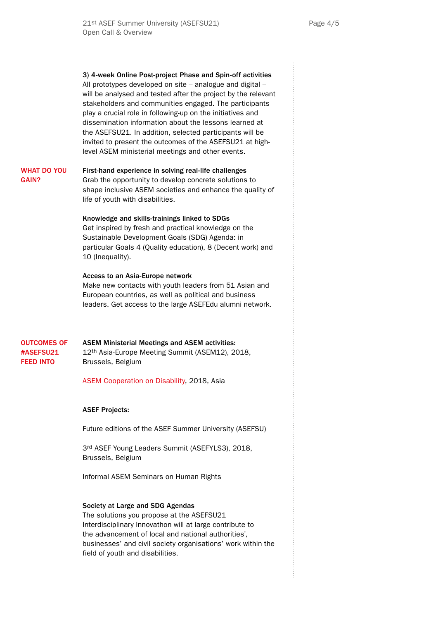3) 4-week Online Post-project Phase and Spin-off activities All prototypes developed on site – analogue and digital – will be analysed and tested after the project by the relevant stakeholders and communities engaged. The participants play a crucial role in following-up on the initiatives and dissemination information about the lessons learned at the ASEFSU21. In addition, selected participants will be invited to present the outcomes of the ASEFSU21 at highlevel ASEM ministerial meetings and other events.

First-hand experience in solving real-life challenges Grab the opportunity to develop concrete solutions to shape inclusive ASEM societies and enhance the quality of life of youth with disabilities. WHAT DO YOU GAIN?

> Knowledge and skills-trainings linked to SDGs Get inspired by fresh and practical knowledge on the Sustainable Development Goals (SDG) Agenda: in particular Goals 4 (Quality education), 8 (Decent work) and 10 (Inequality).

#### Access to an Asia-Europe network

Make new contacts with youth leaders from 51 Asian and European countries, as well as political and business leaders. Get access to the large ASEFEdu alumni network.

ASEM Ministerial Meetings and ASEM activities: 12th Asia-Europe Meeting Summit (ASEM12), 2018, Brussels, Belgium OUTCOMES OF #ASEFSU21 FEED INTO

[ASEM Cooperation on Disability](http://www.aseminfoboard.org/events/asem-cooperation-disability), 2018, Asia

#### ASEF Projects:

Future editions of the ASEF Summer University (ASEFSU)

3rd ASEF Young Leaders Summit (ASEFYLS3), 2018, Brussels, Belgium

Informal ASEM Seminars on Human Rights

#### Society at Large and SDG Agendas

The solutions you propose at the ASEFSU21 Interdisciplinary Innovathon will at large contribute to the advancement of local and national authorities', businesses' and civil society organisations' work within the field of youth and disabilities.